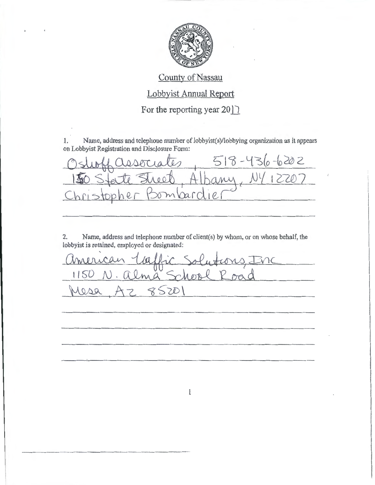

## County of Nassau

Lobbyist Annual Report

For the reporting year  $20$   $\sqrt{ }$ 

1. Name, address and telephone number of lobbyist(s)/lobbying organization as it appears on Lobbyist Registration and Disclosure Fonn:

on Lobbyist Registration and Disclosure Form:<br>Oslubbol CLOUCLOU 518 - 436-6202  $\frac{3 \text{slubf} \text{(dissoriate)}}{150 \text{ S} \text{t} \text{c} \text{t} \text{t}} \frac{518 - 436 - 6202}{11 \text{ s}}$ mbardie

2. Name, address and telephone nwnber of client(s) by whom, or on whose behalf, the lobbyist is retained, employed or designated:

american Laffic Solutions, Inc vist is retained, employed or designated:<br>
murican Laffic Solutions, Enc<br>
1150 N. alma School Road<br>
1000 A7 8501 1150 N. alma School Road - - - ........ \_\_\_\_\_\_\_\_\_ \_

 $\mathbf{l}$ 

- - --- ·-----·---·---------- - - ---------------·---- -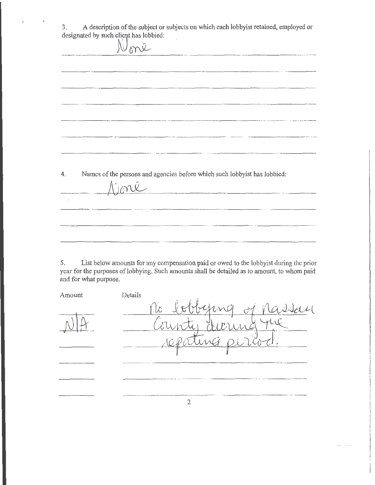3. A description of the subject or subjects on which each lobbyist retained, employed or designated by such client has lobbied:<br> $\bigvee_{b}^{b}$ .<br>- Microsoft and the company of the company of the company of the company of the company of the company of the company of the company of the company of the company of the company of the company of the company of the compa **Contractor**  $\sim$  $\overline{\phantom{a}}$ 4. Names of the persons and agencies before which such lobbyist has lobbied:  $M_{\odot}$ 

5. List below amounts for any compensation paid or owed to the lobbyist during the prior year for the purposes of lobbying. Such amounts shall be detailed as to amount, to whom paid and for what purpose.

| Amount | Details                                                     |
|--------|-------------------------------------------------------------|
|        | ting of<br>$q$ $\lambda$ $\lambda$ a $\mu$ $($<br>$1\sigma$ |
|        |                                                             |
|        |                                                             |
|        |                                                             |

2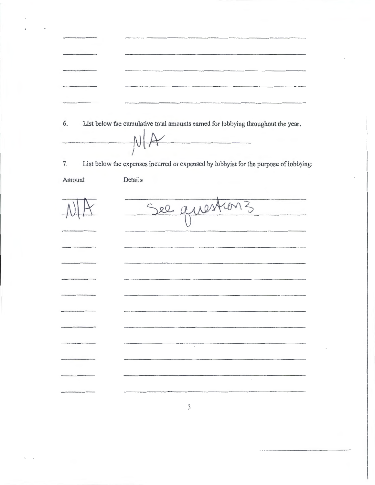| 6.     | List below the cumulative total amounts earned for lobbying throughout the year:<br>$\frac{1}{2}$ |
|--------|---------------------------------------------------------------------------------------------------|
|        |                                                                                                   |
|        |                                                                                                   |
| 7.     | List below the expenses incurred or expensed by lobbyist for the purpose of lobbying:             |
| Amount | Details                                                                                           |
|        |                                                                                                   |
|        | See question 3                                                                                    |
|        |                                                                                                   |
|        |                                                                                                   |
|        |                                                                                                   |
|        |                                                                                                   |
|        |                                                                                                   |
|        |                                                                                                   |
|        |                                                                                                   |
|        |                                                                                                   |
|        |                                                                                                   |
|        |                                                                                                   |
|        |                                                                                                   |
|        |                                                                                                   |
|        |                                                                                                   |
|        |                                                                                                   |
|        |                                                                                                   |
|        |                                                                                                   |

3

. ···················-····- -------